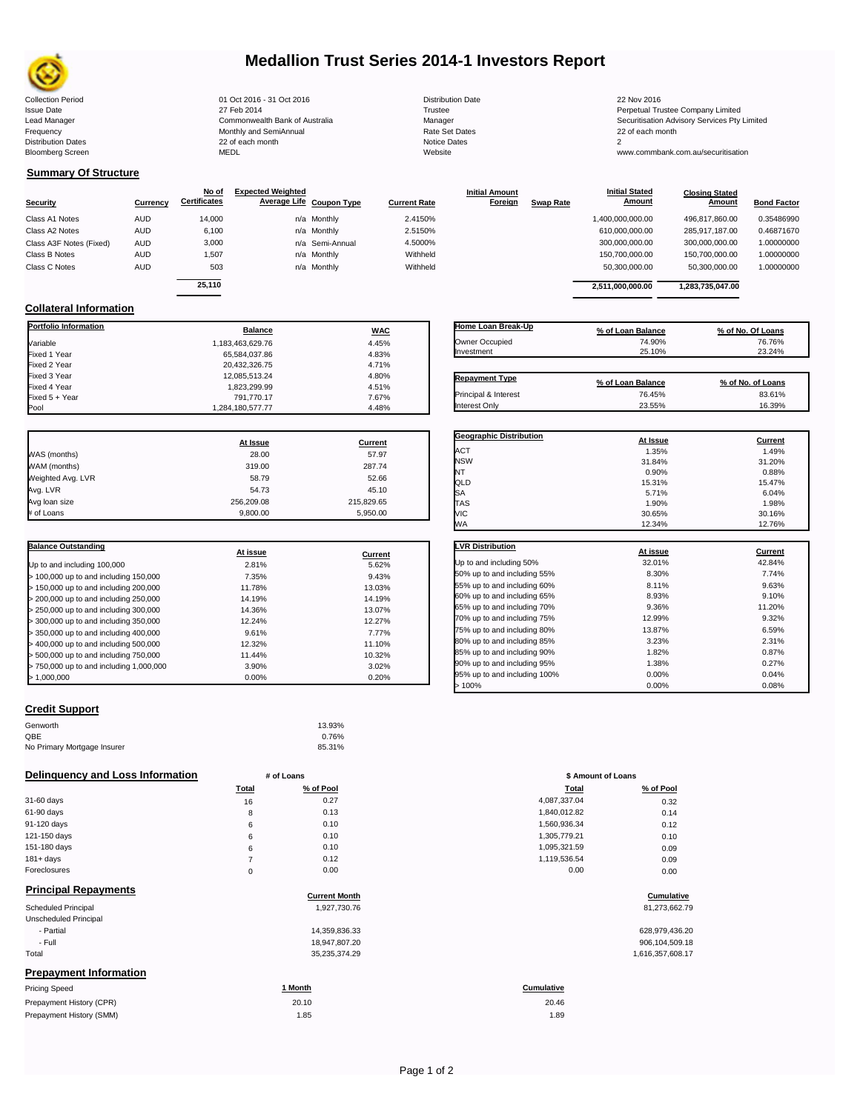

# **Medallion Trust Series 2014-1 Investors Report**

Collection Period 22 Nov 2016 01 Oct 2016 - 31 Oct 2016 2016 2016 Distribution Date 22 Nov 2016 22 Nov 2016 Frequency 22 of each month Monthly and SemiAnnual Rate Set Dates 22 of each month 22 of each month 22 of each month<br>Distribution Dates 22 of each month 22 of each month 20 of each month and the Set Dates 20 month 2 Bloomberg Screen MEDL Website www.commbank.com.au/securitisation

Fixed 4 Year 1,823,299.99 4.51%

| <b>Distribution Date</b> |
|--------------------------|
| Trustee                  |
| Manager                  |
| Rate Set Dates           |
| Notice Dates             |
| Website                  |
|                          |

Issue Date 27 Feb 2014 27 Feb 2014<br>Lead Manager Commonwealth Bank of Australia Manager Manager Securitisation Advisory Services Pty Limited

**Closing Stated Amount**

### **Summary Of Structure**

**Collateral Information**

|                         |            | No of               | <b>Expected Weighted</b> |                     | <b>Initial Amount</b> |                  | <b>Initial Stated</b> | <b>Closing Stated</b> |                    |
|-------------------------|------------|---------------------|--------------------------|---------------------|-----------------------|------------------|-----------------------|-----------------------|--------------------|
| <b>Security</b>         | Currency   | <b>Certificates</b> | Average Life Coupon Type | <b>Current Rate</b> | Foreign               | <b>Swap Rate</b> | <b>Amount</b>         | Amount                | <b>Bond Factor</b> |
| Class A1 Notes          | <b>AUD</b> | 14.000              | n/a Monthly              | 2.4150%             |                       |                  | 1,400,000,000.00      | 496.817.860.00        | 0.35486990         |
| Class A2 Notes          | <b>AUD</b> | 6,100               | n/a Monthly              | 2.5150%             |                       |                  | 610,000,000.00        | 285.917.187.00        | 0.46871670         |
| Class A3F Notes (Fixed) | <b>AUD</b> | 3,000               | n/a Semi-Annual          | 4.5000%             |                       |                  | 300,000,000.00        | 300,000,000.00        | 1.00000000         |
| Class B Notes           | <b>AUD</b> | 1.507               | n/a Monthly              | Withheld            |                       |                  | 150,700,000.00        | 150,700,000.00        | 1.00000000         |
| Class C Notes           | <b>AUD</b> | 503                 | n/a Monthly              | Withheld            |                       |                  | 50,300,000.00         | 50,300,000.00         | 1.00000000         |
|                         |            | 25.110              |                          |                     |                       |                  | 2,511,000,000.00      | 1,283,735,047.00      |                    |

**Portfolio Information Balance WAC** Variable 1,183,463,629.76 4.45% Fixed 1 Year 65,584,037.86 4.83% Fixed 2 Year 20,432,326.75 4.71% 20,432,326.75 4.71% 20,432,326.75<br>بالتهابة المستوى المستوى المستوى المستوى المستوى المستوى المستوى المستوى المستوى المستوى المستوى المستوى المست<br>والمستوى المستوى المستوى المستوى المستوى ال .<br>Fixed 3 Year 12,085,513.24 4.80% 4.80% 4.80% 4.51% 4.81% 4.51% 4.51% 4.51%

Fixed 5 + Year 791,770.17 7.67%

1,284,180,577.77

| Home Loan Break-Up    | % of Loan Balance        | % of No. Of Loans |
|-----------------------|--------------------------|-------------------|
| Owner Occupied        | 74.90%                   | 76.76%            |
| Investment            | 25.10%                   | 23.24%            |
|                       |                          |                   |
| <b>Repayment Type</b> | % of Loan Balance        | % of No. of Loans |
| .                     | $\overline{\phantom{a}}$ | 0000101           |

**Initial Stated** 

|                   | At Issue   | <b>Current</b> |
|-------------------|------------|----------------|
| WAS (months)      | 28.00      | 57.97          |
| WAM (months)      | 319.00     | 287.74         |
| Weighted Avg. LVR | 58.79      | 52.66          |
| Avg. LVR          | 54.73      | 45.10          |
| Avg loan size     | 256.209.08 | 215.829.65     |
| # of Loans        | 9.800.00   | 5.950.00       |

| <b>Balance Outstanding</b>              | At issue | Current |
|-----------------------------------------|----------|---------|
| Up to and including 100,000             | 2.81%    | 5.62%   |
| > 100,000 up to and including 150,000   | 7.35%    | 9.43%   |
| > 150,000 up to and including 200,000   | 11.78%   | 13.03%  |
| > 200,000 up to and including 250,000   | 14.19%   | 14.19%  |
| > 250,000 up to and including 300,000   | 14.36%   | 13.07%  |
| > 300,000 up to and including 350,000   | 12.24%   | 12.27%  |
| > 350,000 up to and including 400,000   | 9.61%    | 7.77%   |
| > 400,000 up to and including 500,000   | 12.32%   | 11.10%  |
| > 500,000 up to and including 750,000   | 11.44%   | 10.32%  |
| > 750,000 up to and including 1,000,000 | 3.90%    | 3.02%   |
| > 1.000.000                             | 0.00%    | 0.20%   |

## **Credit Support**

Prepayment History (SMM)

| Genworth                    | 13.93% |
|-----------------------------|--------|
| QBE                         | 0.76%  |
| No Primary Mortgage Insurer | 85.31% |

### **Delinquency and Loss Information # of Loans**

|              | <b>Total</b> | % of Pool | Total        | % of Pool |
|--------------|--------------|-----------|--------------|-----------|
| 31-60 days   | 16           | 0.27      | 4,087,337.04 | 0.32      |
| 61-90 days   | 8            | 0.13      | 1,840,012.82 | 0.14      |
| 91-120 days  | 6            | 0.10      | 1,560,936.34 | 0.12      |
| 121-150 days | 6            | 0.10      | 1,305,779.21 | 0.10      |
| 151-180 days | 6            | 0.10      | 1,095,321.59 | 0.09      |
| $181 + days$ |              | 0.12      | 1.119.536.54 | 0.09      |
| Foreclosures | $\Omega$     | 0.00      | 0.00         | 0.00      |

| <b>Principal Repayments</b>   |                      |                   |
|-------------------------------|----------------------|-------------------|
|                               | <b>Current Month</b> | Cumulative        |
| Scheduled Principal           | 1,927,730.76         | 81,273,662.79     |
| Unscheduled Principal         |                      |                   |
| - Partial                     | 14,359,836.33        | 628,979,436.20    |
| - Full                        | 18,947,807.20        | 906,104,509.18    |
| Total                         | 35,235,374.29        | 1,616,357,608.17  |
| <b>Prepayment Information</b> |                      |                   |
| <b>Pricing Speed</b>          | 1 Month              | <b>Cumulative</b> |
| Prepayment History (CPR)      | 20.10                | 20.46             |

| Home Loan Break-Up    | % of Loan Balance | % of No. Of Loans |
|-----------------------|-------------------|-------------------|
| Owner Occupied        | 74.90%            | 76.76%            |
| Investment            | 25.10%            | 23.24%            |
|                       |                   |                   |
|                       |                   |                   |
| <b>Repayment Type</b> | % of Loan Balance | % of No. of Loans |
| Principal & Interest  | 76.45%            | 83.61%            |

| <b>Geographic Distribution</b> | At Issue | Current |
|--------------------------------|----------|---------|
| <b>ACT</b>                     | 1.35%    | 1.49%   |
| <b>NSW</b>                     | 31.84%   | 31.20%  |
| NT                             | 0.90%    | 0.88%   |
| QLD                            | 15.31%   | 15.47%  |
| SA                             | 5.71%    | 6.04%   |
| <b>TAS</b>                     | 1.90%    | 1.98%   |
| VIC                            | 30.65%   | 30.16%  |
| <b>WA</b>                      | 12.34%   | 12.76%  |
|                                |          |         |
| <b>LVR Distribution</b>        | At issue | Current |
| I In to and including 50%      | 22010/   | 1200I   |

|                              | At issue | current |
|------------------------------|----------|---------|
| Up to and including 50%      | 32.01%   | 42.84%  |
| 50% up to and including 55%  | 8.30%    | 7.74%   |
| 55% up to and including 60%  | 8.11%    | 9.63%   |
| 60% up to and including 65%  | 8.93%    | 9.10%   |
| 65% up to and including 70%  | 9.36%    | 11.20%  |
| 70% up to and including 75%  | 12.99%   | 9.32%   |
| 75% up to and including 80%  | 13.87%   | 6.59%   |
| 80% up to and including 85%  | 3.23%    | 2.31%   |
| 85% up to and including 90%  | 1.82%    | 0.87%   |
| 90% up to and including 95%  | 1.38%    | 0.27%   |
| 95% up to and including 100% | 0.00%    | 0.04%   |
| 100%                         | 0.00%    | 0.08%   |

| # of Loans |           | \$ Amount of Loans |           |
|------------|-----------|--------------------|-----------|
| Total      | % of Pool | <b>Total</b>       | % of Pool |
| 16         | 0.27      | 4,087,337.04       | 0.32      |
| 8          | 0.13      | 1,840,012.82       | 0.14      |
| 6          | 0.10      | 1,560,936.34       | 0.12      |
| 6          | 0.10      | 1,305,779.21       | 0.10      |
| 6          | 0.10      | 1,095,321.59       | 0.09      |
| 7          | 0.12      | 1,119,536.54       | 0.09      |
| 0          | 0.00      | 0.00               | 0.00      |

# **Cumulative Cumulative**

| 628,979,436.20   |
|------------------|
| 906,104,509.18   |
| 1,616,357,608.17 |

1.85 1.89 20.46